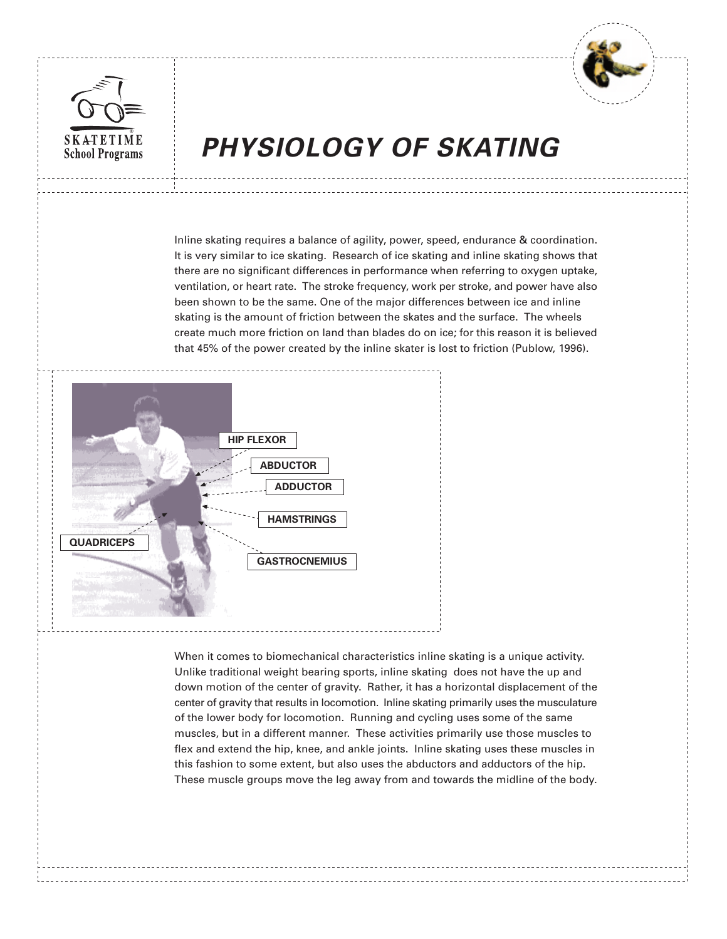



# **PHYSIOLOGY OF SKATING**

Inline skating requires a balance of agility, power, speed, endurance & coordination. It is very similar to ice skating. Research of ice skating and inline skating shows that there are no significant differences in performance when referring to oxygen uptake, ventilation, or heart rate. The stroke frequency, work per stroke, and power have also been shown to be the same. One of the major differences between ice and inline skating is the amount of friction between the skates and the surface. The wheels create much more friction on land than blades do on ice; for this reason it is believed that 45% of the power created by the inline skater is lost to friction (Publow, 1996).



When it comes to biomechanical characteristics inline skating is a unique activity. Unlike traditional weight bearing sports, inline skating does not have the up and down motion of the center of gravity. Rather, it has a horizontal displacement of the center of gravity that results in locomotion. Inline skating primarily uses the musculature of the lower body for locomotion. Running and cycling uses some of the same muscles, but in a different manner. These activities primarily use those muscles to flex and extend the hip, knee, and ankle joints. Inline skating uses these muscles in this fashion to some extent, but also uses the abductors and adductors of the hip. These muscle groups move the leg away from and towards the midline of the body.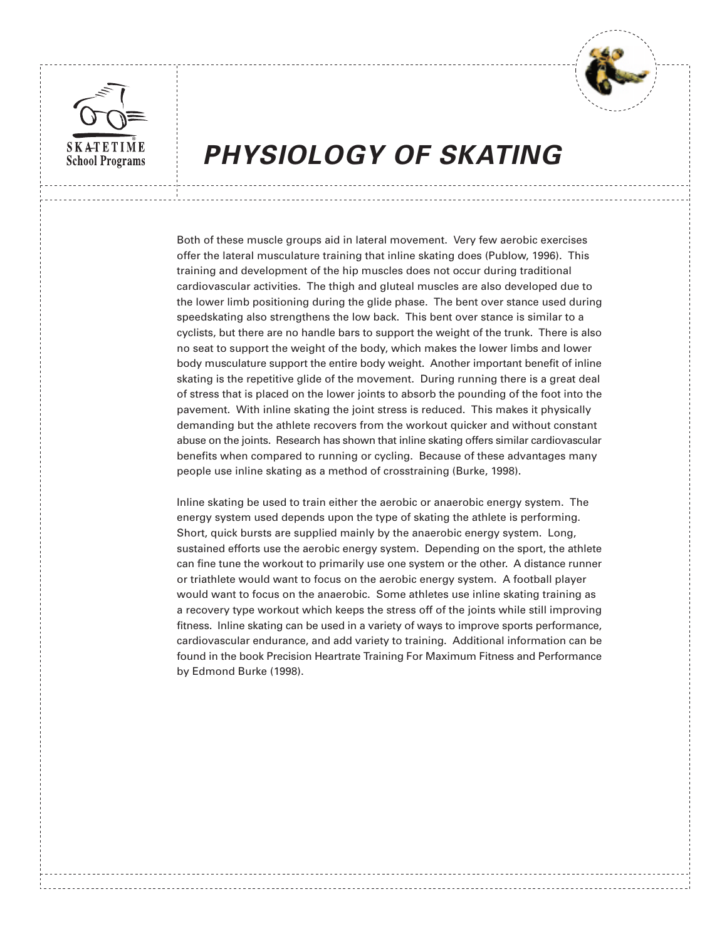



## **PHYSIOLOGY OF SKATING**

Both of these muscle groups aid in lateral movement. Very few aerobic exercises offer the lateral musculature training that inline skating does (Publow, 1996). This training and development of the hip muscles does not occur during traditional cardiovascular activities. The thigh and gluteal muscles are also developed due to the lower limb positioning during the glide phase. The bent over stance used during speedskating also strengthens the low back. This bent over stance is similar to a cyclists, but there are no handle bars to support the weight of the trunk. There is also no seat to support the weight of the body, which makes the lower limbs and lower body musculature support the entire body weight. Another important benefit of inline skating is the repetitive glide of the movement. During running there is a great deal of stress that is placed on the lower joints to absorb the pounding of the foot into the pavement. With inline skating the joint stress is reduced. This makes it physically demanding but the athlete recovers from the workout quicker and without constant abuse on the joints. Research has shown that inline skating offers similar cardiovascular benefits when compared to running or cycling. Because of these advantages many people use inline skating as a method of crosstraining (Burke, 1998).

Inline skating be used to train either the aerobic or anaerobic energy system. The energy system used depends upon the type of skating the athlete is performing. Short, quick bursts are supplied mainly by the anaerobic energy system. Long, sustained efforts use the aerobic energy system. Depending on the sport, the athlete can fine tune the workout to primarily use one system or the other. A distance runner or triathlete would want to focus on the aerobic energy system. A football player would want to focus on the anaerobic. Some athletes use inline skating training as a recovery type workout which keeps the stress off of the joints while still improving fitness. Inline skating can be used in a variety of ways to improve sports performance, cardiovascular endurance, and add variety to training. Additional information can be found in the book Precision Heartrate Training For Maximum Fitness and Performance by Edmond Burke (1998).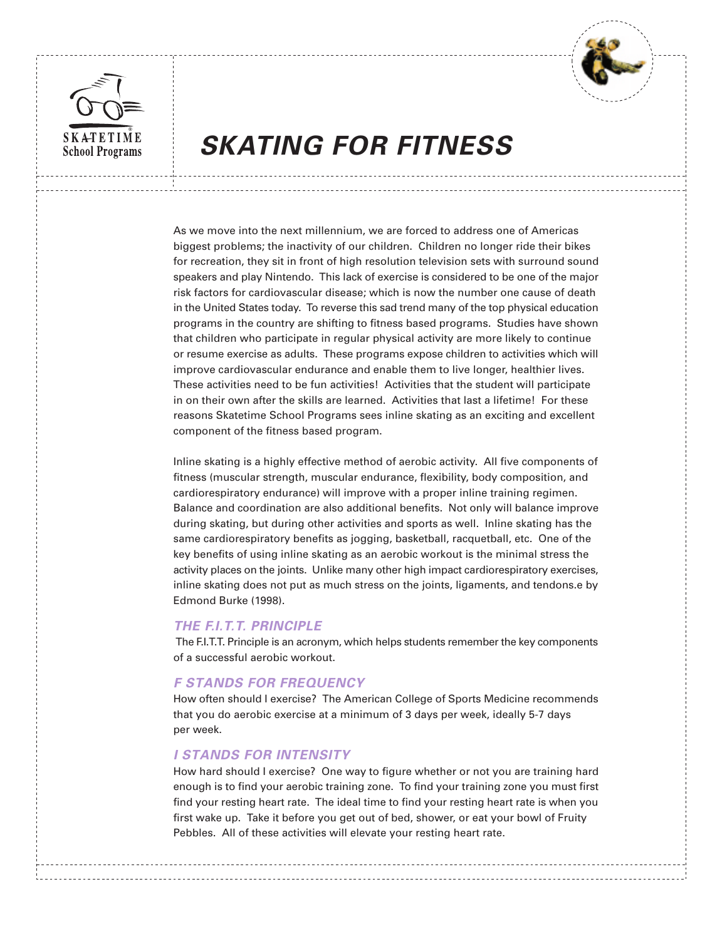



## **SKATING FOR FITNESS**

As we move into the next millennium, we are forced to address one of Americas biggest problems; the inactivity of our children. Children no longer ride their bikes for recreation, they sit in front of high resolution television sets with surround sound speakers and play Nintendo. This lack of exercise is considered to be one of the major risk factors for cardiovascular disease; which is now the number one cause of death in the United States today. To reverse this sad trend many of the top physical education programs in the country are shifting to fitness based programs. Studies have shown that children who participate in regular physical activity are more likely to continue or resume exercise as adults. These programs expose children to activities which will improve cardiovascular endurance and enable them to live longer, healthier lives. These activities need to be fun activities! Activities that the student will participate in on their own after the skills are learned. Activities that last a lifetime! For these reasons Skatetime School Programs sees inline skating as an exciting and excellent component of the fitness based program.

Inline skating is a highly effective method of aerobic activity. All five components of fitness (muscular strength, muscular endurance, flexibility, body composition, and cardiorespiratory endurance) will improve with a proper inline training regimen. Balance and coordination are also additional benefits. Not only will balance improve during skating, but during other activities and sports as well. Inline skating has the same cardiorespiratory benefits as jogging, basketball, racquetball, etc. One of the key benefits of using inline skating as an aerobic workout is the minimal stress the activity places on the joints. Unlike many other high impact cardiorespiratory exercises, inline skating does not put as much stress on the joints, ligaments, and tendons.e by Edmond Burke (1998).

### **THE F.I.T.T. PRINCIPLE**

 The F.I.T.T. Principle is an acronym, which helps students remember the key components of a successful aerobic workout.

### **F STANDS FOR FREQUENCY**

How often should I exercise? The American College of Sports Medicine recommends that you do aerobic exercise at a minimum of 3 days per week, ideally 5-7 days per week.

### **I STANDS FOR INTENSITY**

How hard should I exercise? One way to figure whether or not you are training hard enough is to find your aerobic training zone. To find your training zone you must first find your resting heart rate. The ideal time to find your resting heart rate is when you first wake up. Take it before you get out of bed, shower, or eat your bowl of Fruity Pebbles. All of these activities will elevate your resting heart rate.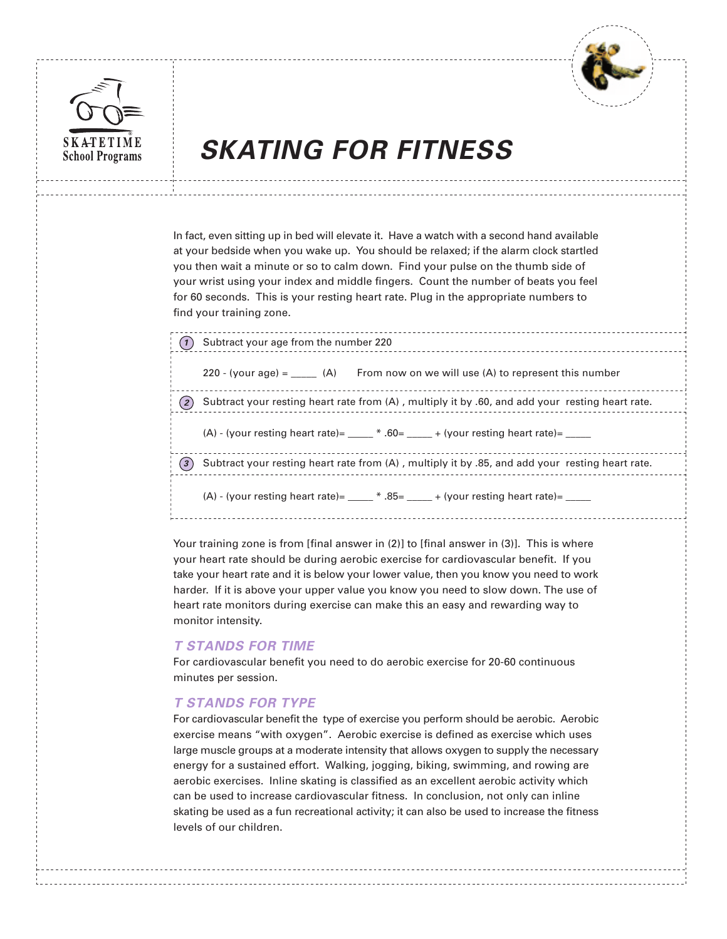



## **SKATING FOR FITNESS**

In fact, even sitting up in bed will elevate it. Have a watch with a second hand available at your bedside when you wake up. You should be relaxed; if the alarm clock startled you then wait a minute or so to calm down. Find your pulse on the thumb side of your wrist using your index and middle fingers. Count the number of beats you feel for 60 seconds. This is your resting heart rate. Plug in the appropriate numbers to find your training zone.

|     | Subtract your age from the number 220                                                           |  |  |
|-----|-------------------------------------------------------------------------------------------------|--|--|
|     | 220 - (your age) = $(A)$ From now on we will use (A) to represent this number                   |  |  |
| (2) | Subtract your resting heart rate from (A), multiply it by .60, and add your resting heart rate. |  |  |
|     | $(A)$ - (your resting heart rate)= $\_\_\_\_\$ * .60= $\_\_\_\_\$ + (your resting heart rate)=  |  |  |
| (3) | Subtract your resting heart rate from (A), multiply it by .85, and add your resting heart rate. |  |  |
|     |                                                                                                 |  |  |
|     |                                                                                                 |  |  |

Your training zone is from [final answer in (2)] to [final answer in (3)]. This is where your heart rate should be during aerobic exercise for cardiovascular benefit. If you take your heart rate and it is below your lower value, then you know you need to work harder. If it is above your upper value you know you need to slow down. The use of heart rate monitors during exercise can make this an easy and rewarding way to monitor intensity.

### **T STANDS FOR TIME**

For cardiovascular benefit you need to do aerobic exercise for 20-60 continuous minutes per session.

## **T STANDS FOR TYPE**

For cardiovascular benefit the type of exercise you perform should be aerobic. Aerobic exercise means "with oxygen". Aerobic exercise is defined as exercise which uses large muscle groups at a moderate intensity that allows oxygen to supply the necessary energy for a sustained effort. Walking, jogging, biking, swimming, and rowing are aerobic exercises. Inline skating is classified as an excellent aerobic activity which can be used to increase cardiovascular fitness. In conclusion, not only can inline skating be used as a fun recreational activity; it can also be used to increase the fitness levels of our children.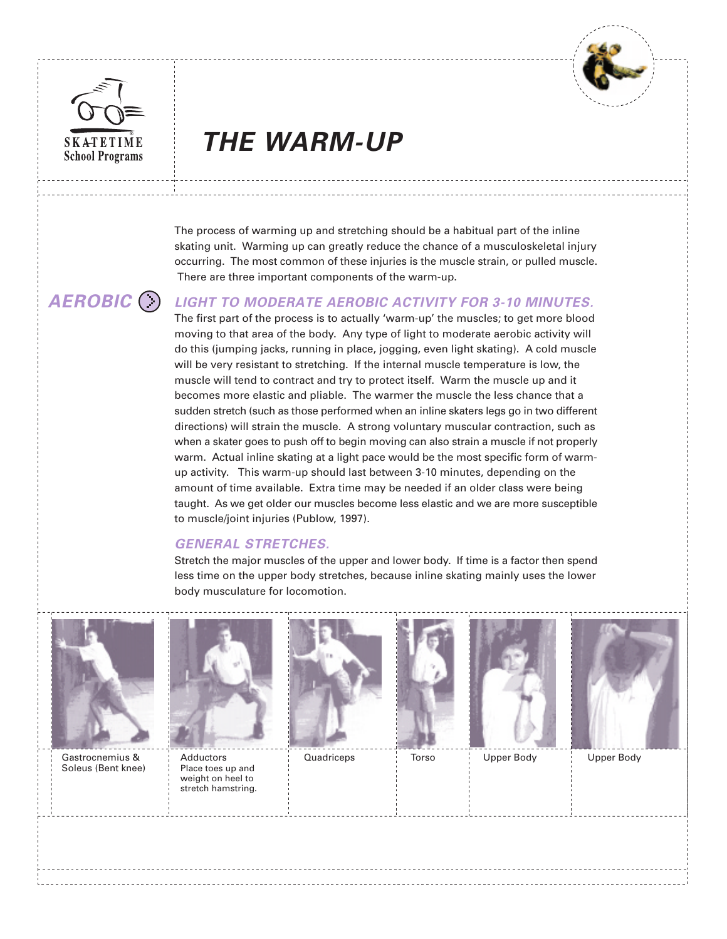



# **SKATETIME THE WARM-UP School Programs**

The process of warming up and stretching should be a habitual part of the inline skating unit. Warming up can greatly reduce the chance of a musculoskeletal injury occurring. The most common of these injuries is the muscle strain, or pulled muscle. There are three important components of the warm-up.

## **AEROBIC**

## **LIGHT TO MODERATE AEROBIC ACTIVITY FOR 3-10 MINUTES.**

The first part of the process is to actually 'warm-up' the muscles; to get more blood moving to that area of the body. Any type of light to moderate aerobic activity will do this (jumping jacks, running in place, jogging, even light skating). A cold muscle will be very resistant to stretching. If the internal muscle temperature is low, the muscle will tend to contract and try to protect itself. Warm the muscle up and it becomes more elastic and pliable. The warmer the muscle the less chance that a sudden stretch (such as those performed when an inline skaters legs go in two different directions) will strain the muscle. A strong voluntary muscular contraction, such as when a skater goes to push off to begin moving can also strain a muscle if not properly warm. Actual inline skating at a light pace would be the most specific form of warmup activity. This warm-up should last between 3-10 minutes, depending on the amount of time available. Extra time may be needed if an older class were being taught. As we get older our muscles become less elastic and we are more susceptible to muscle/joint injuries (Publow, 1997).

## **GENERAL STRETCHES.**

Stretch the major muscles of the upper and lower body. If time is a factor then spend less time on the upper body stretches, because inline skating mainly uses the lower body musculature for locomotion.



Gastrocnemius & Adductors | Quadriceps | Torso | Upper Body | Upper Body Soleus (Bent knee) | Place toes up and



weight on heel to stretch hamstring.









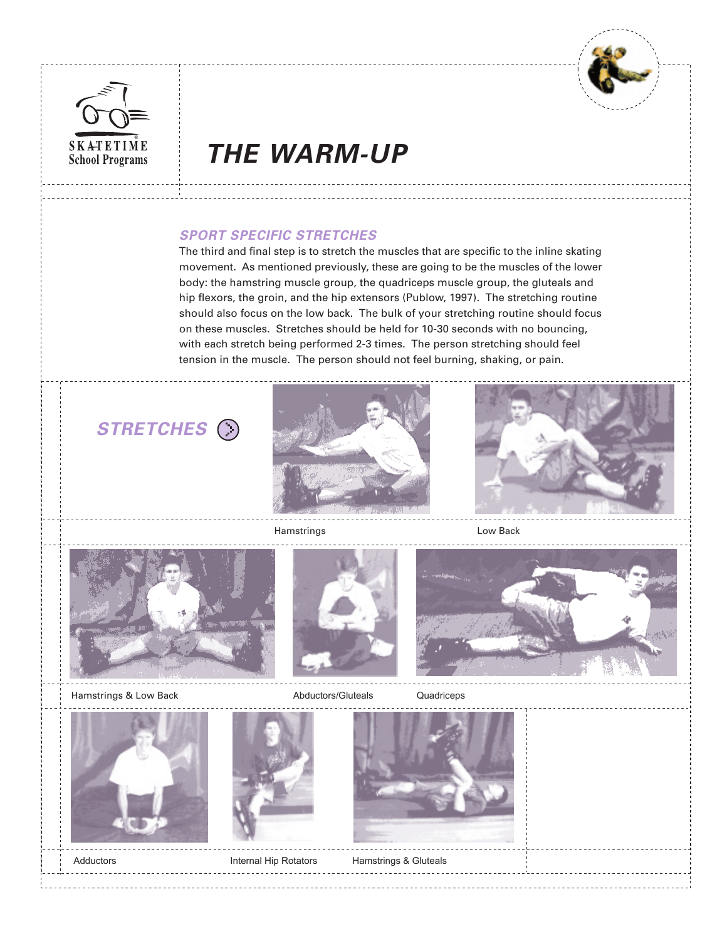



## SKATETIME **THE WARM-UP**

## **SPORT SPECIFIC STRETCHES**

The third and final step is to stretch the muscles that are specific to the inline skating movement. As mentioned previously, these are going to be the muscles of the lower body: the hamstring muscle group, the quadriceps muscle group, the gluteals and hip flexors, the groin, and the hip extensors (Publow, 1997). The stretching routine should also focus on the low back. The bulk of your stretching routine should focus on these muscles. Stretches should be held for 10-30 seconds with no bouncing, with each stretch being performed 2-3 times. The person stretching should feel tension in the muscle. The person should not feel burning, shaking, or pain.

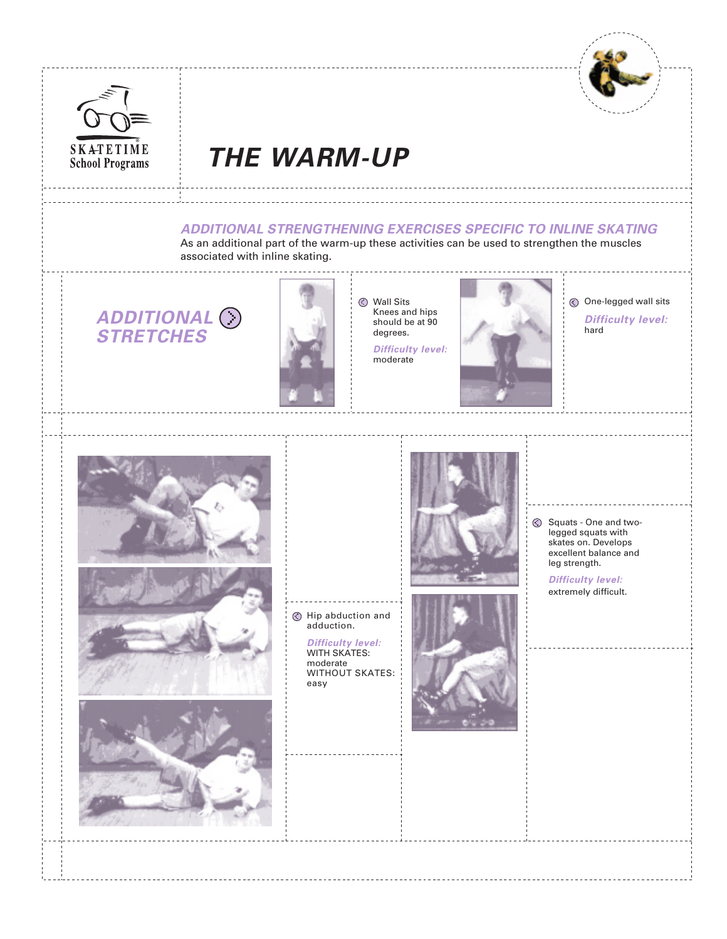



# **SKATETIME THE WARM-UP**

## **ADDITIONAL STRENGTHENING EXERCISES SPECIFIC TO INLINE SKATING**

As an additional part of the warm-up these activities can be used to strengthen the muscles associated with inline skating.

**ADDITIONAL STRETCHES**



Wall Sits Knees and hips should be at 90 degrees.

**Difficulty level:** moderate



One-legged wall sits **Difficulty level:** hard





Hip abduction and adduction.

> **Difficulty level:** WITH SKATES: moderate WITHOUT SKATES: easy



Squats - One and twolegged squats with skates on. Develops excellent balance and leg strength.

> **Difficulty level:** extremely difficult.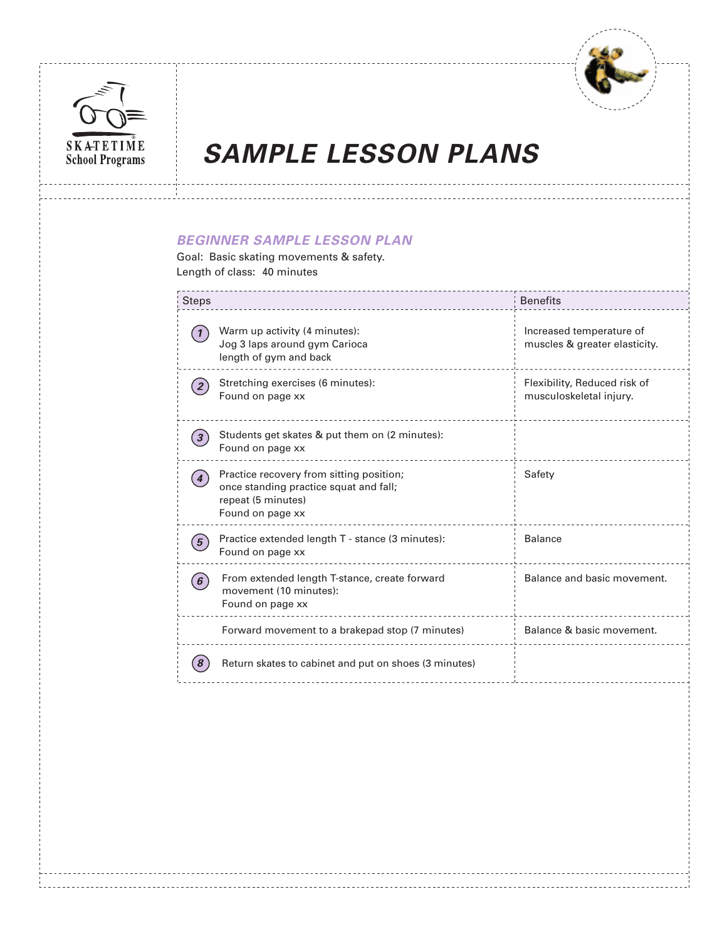



## **BEGINNER SAMPLE LESSON PLAN**

Goal: Basic skating movements & safety. Length of class: 40 minutes

| <b>Steps</b>                                                                                                                 | <b>Benefits</b>                                           |  |  |  |
|------------------------------------------------------------------------------------------------------------------------------|-----------------------------------------------------------|--|--|--|
| Warm up activity (4 minutes):<br>$\mathbf{1}$<br>Jog 3 laps around gym Carioca<br>length of gym and back                     | Increased temperature of<br>muscles & greater elasticity. |  |  |  |
| Stretching exercises (6 minutes):<br>Found on page xx                                                                        | Flexibility, Reduced risk of<br>musculoskeletal injury.   |  |  |  |
| Students get skates & put them on (2 minutes):<br>Found on page xx                                                           |                                                           |  |  |  |
| Practice recovery from sitting position;<br>once standing practice squat and fall;<br>repeat (5 minutes)<br>Found on page xx | Safety                                                    |  |  |  |
| Practice extended length T - stance (3 minutes):<br>$\overline{5}$<br>Found on page xx                                       | <b>Balance</b>                                            |  |  |  |
| From extended length T-stance, create forward<br>6 <sup>1</sup><br>movement (10 minutes):<br>Found on page xx                | Balance and basic movement.                               |  |  |  |
| Forward movement to a brakepad stop (7 minutes)                                                                              | Balance & basic movement.                                 |  |  |  |
| Return skates to cabinet and put on shoes (3 minutes)                                                                        |                                                           |  |  |  |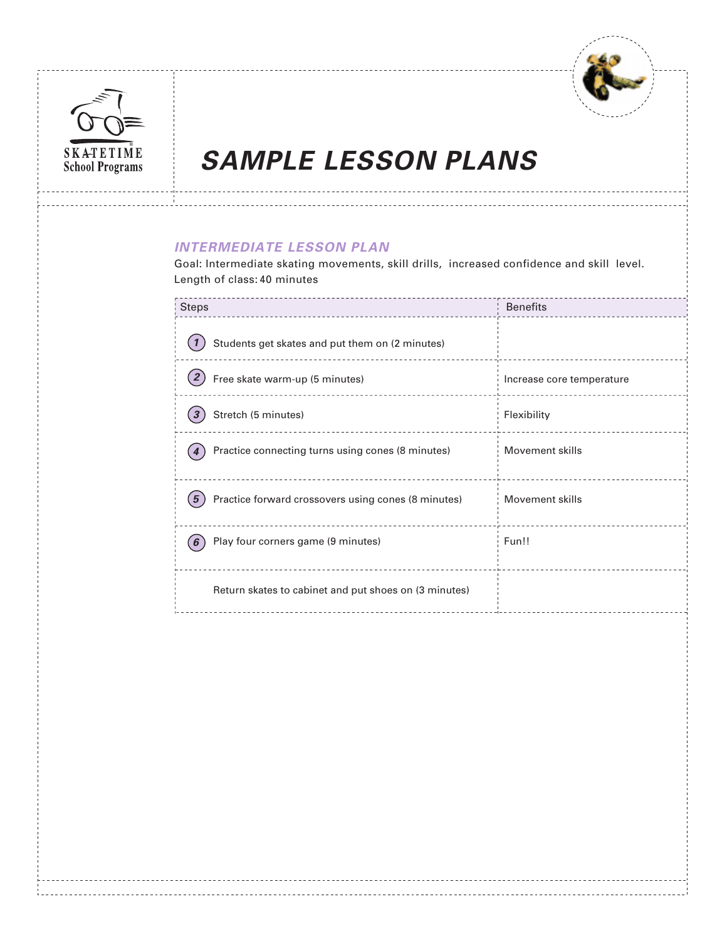



## **INTERMEDIATE LESSON PLAN**

Goal: Intermediate skating movements, skill drills, increased confidence and skill level. Length of class: 40 minutes

| <b>Benefits</b>           |
|---------------------------|
|                           |
| Increase core temperature |
| Flexibility               |
| Movement skills           |
| Movement skills           |
| Fun!!                     |
|                           |
|                           |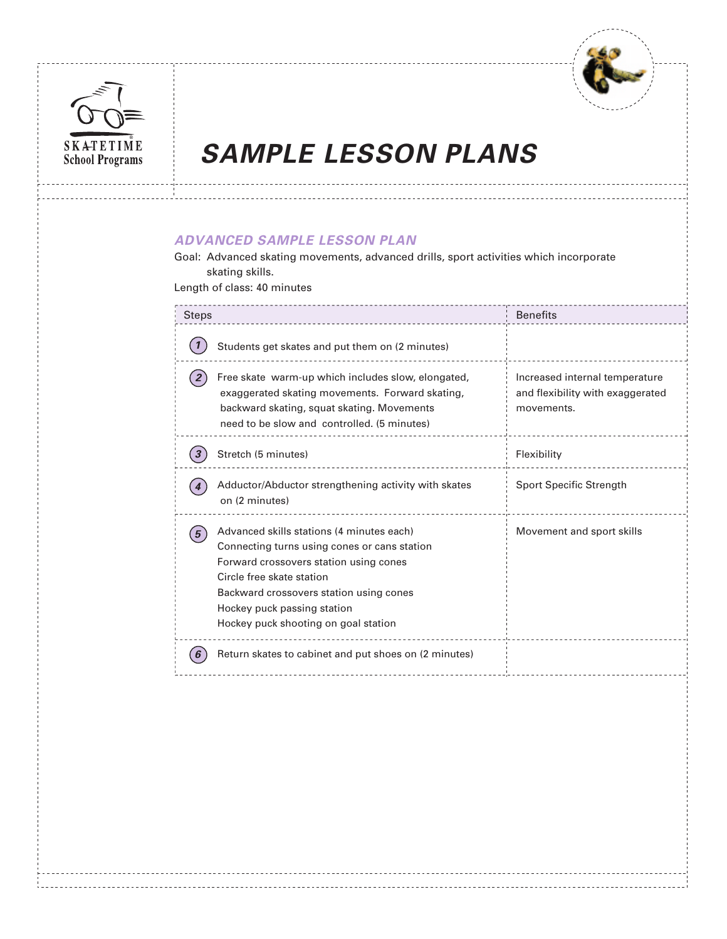



## **ADVANCED SAMPLE LESSON PLAN**

Goal: Advanced skating movements, advanced drills, sport activities which incorporate skating skills.

Length of class: 40 minutes

| <b>Steps</b>                                                                                                                                                                                                                                                                                         | <b>Benefits</b>                                                                  |
|------------------------------------------------------------------------------------------------------------------------------------------------------------------------------------------------------------------------------------------------------------------------------------------------------|----------------------------------------------------------------------------------|
| Students get skates and put them on (2 minutes)                                                                                                                                                                                                                                                      |                                                                                  |
| Free skate warm-up which includes slow, elongated,<br>exaggerated skating movements. Forward skating,<br>backward skating, squat skating. Movements<br>need to be slow and controlled. (5 minutes)                                                                                                   | Increased internal temperature<br>and flexibility with exaggerated<br>movements. |
| Stretch (5 minutes)                                                                                                                                                                                                                                                                                  | Flexibility                                                                      |
| Adductor/Abductor strengthening activity with skates<br>on (2 minutes)                                                                                                                                                                                                                               | Sport Specific Strength                                                          |
| Advanced skills stations (4 minutes each)<br>5 <sup>1</sup><br>Connecting turns using cones or cans station<br>Forward crossovers station using cones<br>Circle free skate station<br>Backward crossovers station using cones<br>Hockey puck passing station<br>Hockey puck shooting on goal station | Movement and sport skills                                                        |
| Return skates to cabinet and put shoes on (2 minutes)                                                                                                                                                                                                                                                |                                                                                  |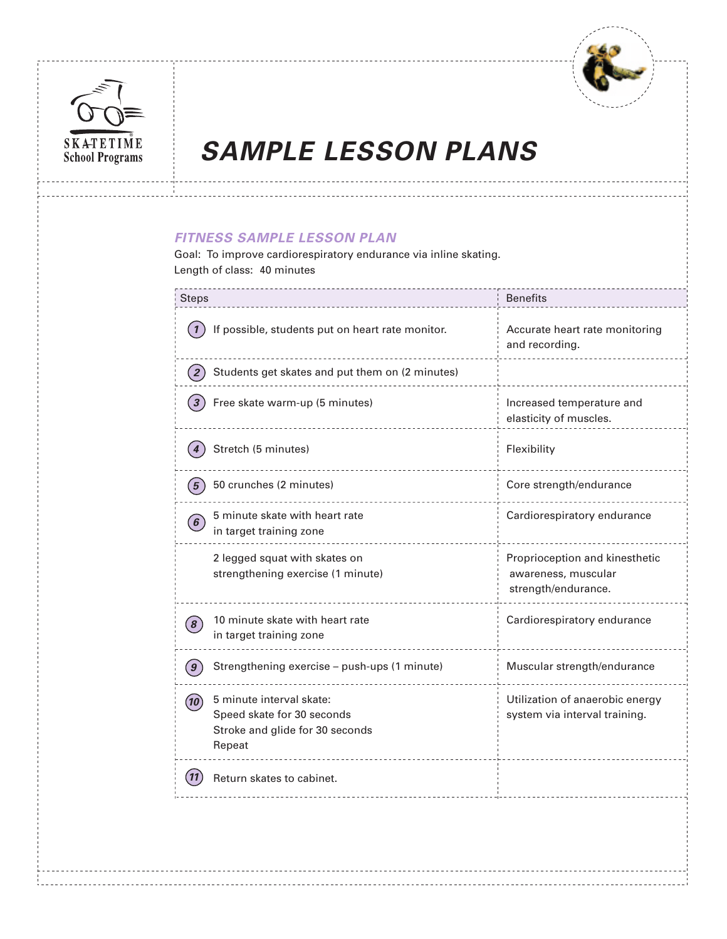



## **FITNESS SAMPLE LESSON PLAN**

Goal: To improve cardiorespiratory endurance via inline skating. Length of class: 40 minutes

| <b>Steps</b>                                                                                              | <b>Benefits</b>                                                              |
|-----------------------------------------------------------------------------------------------------------|------------------------------------------------------------------------------|
| If possible, students put on heart rate monitor.                                                          | Accurate heart rate monitoring<br>and recording.                             |
| Students get skates and put them on (2 minutes)                                                           |                                                                              |
| Free skate warm-up (5 minutes)                                                                            | Increased temperature and<br>elasticity of muscles.                          |
| Stretch (5 minutes)                                                                                       | Flexibility                                                                  |
| 50 crunches (2 minutes)                                                                                   | Core strength/endurance                                                      |
| 5 minute skate with heart rate<br>in target training zone                                                 | Cardiorespiratory endurance                                                  |
| 2 legged squat with skates on<br>strengthening exercise (1 minute)                                        | Proprioception and kinesthetic<br>awareness, muscular<br>strength/endurance. |
| 10 minute skate with heart rate<br>in target training zone                                                | Cardiorespiratory endurance                                                  |
| Strengthening exercise - push-ups (1 minute)                                                              | Muscular strength/endurance                                                  |
| 5 minute interval skate:<br>10<br>Speed skate for 30 seconds<br>Stroke and glide for 30 seconds<br>Repeat | Utilization of anaerobic energy<br>system via interval training.             |
| Return skates to cabinet.                                                                                 |                                                                              |
|                                                                                                           |                                                                              |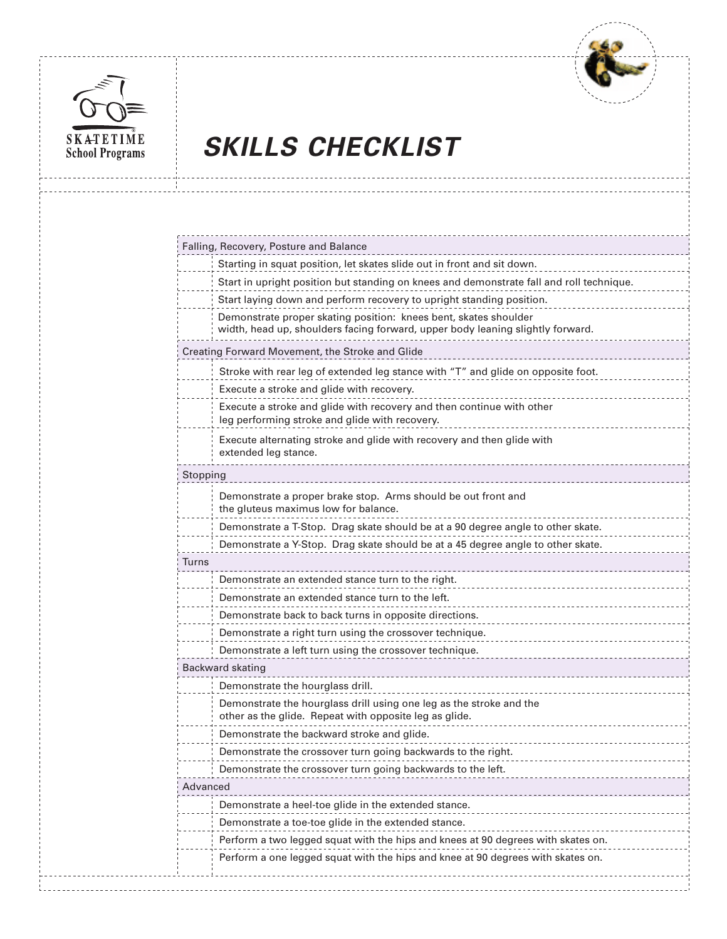



# **SKATETIME SKILLS CHECKLIST**

|                  | Falling, Recovery, Posture and Balance                                                                                                             |
|------------------|----------------------------------------------------------------------------------------------------------------------------------------------------|
|                  | Starting in squat position, let skates slide out in front and sit down.                                                                            |
|                  | Start in upright position but standing on knees and demonstrate fall and roll technique.                                                           |
|                  | Start laying down and perform recovery to upright standing position.                                                                               |
|                  | Demonstrate proper skating position: knees bent, skates shoulder<br>width, head up, shoulders facing forward, upper body leaning slightly forward. |
|                  | Creating Forward Movement, the Stroke and Glide                                                                                                    |
|                  | Stroke with rear leg of extended leg stance with "T" and glide on opposite foot.                                                                   |
|                  | Execute a stroke and glide with recovery.                                                                                                          |
|                  | Execute a stroke and glide with recovery and then continue with other<br>leg performing stroke and glide with recovery.                            |
|                  | Execute alternating stroke and glide with recovery and then glide with<br>extended leg stance.                                                     |
| Stopping         |                                                                                                                                                    |
|                  | Demonstrate a proper brake stop. Arms should be out front and<br>the gluteus maximus low for balance.                                              |
|                  | Demonstrate a T-Stop. Drag skate should be at a 90 degree angle to other skate.                                                                    |
|                  | Demonstrate a Y-Stop. Drag skate should be at a 45 degree angle to other skate.                                                                    |
| Turns            |                                                                                                                                                    |
|                  | Demonstrate an extended stance turn to the right.                                                                                                  |
|                  | Demonstrate an extended stance turn to the left.                                                                                                   |
|                  | Demonstrate back to back turns in opposite directions.                                                                                             |
|                  | Demonstrate a right turn using the crossover technique.                                                                                            |
|                  | Demonstrate a left turn using the crossover technique.                                                                                             |
| Backward skating |                                                                                                                                                    |
|                  | Demonstrate the hourglass drill.                                                                                                                   |
|                  | Demonstrate the hourglass drill using one leg as the stroke and the<br>other as the glide. Repeat with opposite leg as glide.                      |
|                  | Demonstrate the backward stroke and glide.                                                                                                         |
|                  | Demonstrate the crossover turn going backwards to the right.                                                                                       |
|                  | Demonstrate the crossover turn going backwards to the left.                                                                                        |
| Advanced         |                                                                                                                                                    |
|                  | Demonstrate a heel-toe glide in the extended stance.                                                                                               |
|                  | Demonstrate a toe-toe glide in the extended stance.                                                                                                |
|                  | Perform a two legged squat with the hips and knees at 90 degrees with skates on.                                                                   |
|                  | Perform a one legged squat with the hips and knee at 90 degrees with skates on.                                                                    |
|                  |                                                                                                                                                    |
|                  |                                                                                                                                                    |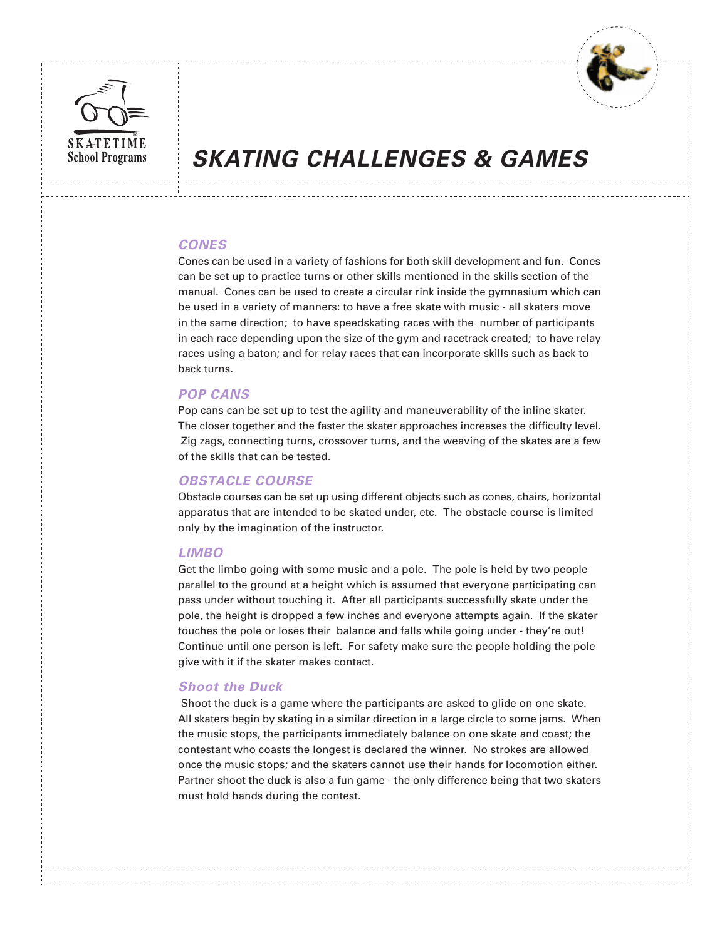



## **SKATING CHALLENGES & GAMES**

### **CONES**

Cones can be used in a variety of fashions for both skill development and fun. Cones can be set up to practice turns or other skills mentioned in the skills section of the manual. Cones can be used to create a circular rink inside the gymnasium which can be used in a variety of manners: to have a free skate with music - all skaters move in the same direction; to have speedskating races with the number of participants in each race depending upon the size of the gym and racetrack created; to have relay races using a baton; and for relay races that can incorporate skills such as back to back turns.

### **POP CANS**

Pop cans can be set up to test the agility and maneuverability of the inline skater. The closer together and the faster the skater approaches increases the difficulty level. Zig zags, connecting turns, crossover turns, and the weaving of the skates are a few of the skills that can be tested.

### **OBSTACLE COURSE**

Obstacle courses can be set up using different objects such as cones, chairs, horizontal apparatus that are intended to be skated under, etc. The obstacle course is limited only by the imagination of the instructor.

### **LIMBO**

Get the limbo going with some music and a pole. The pole is held by two people parallel to the ground at a height which is assumed that everyone participating can pass under without touching it. After all participants successfully skate under the pole, the height is dropped a few inches and everyone attempts again. If the skater touches the pole or loses their balance and falls while going under - they're out! Continue until one person is left. For safety make sure the people holding the pole give with it if the skater makes contact.

### **Shoot the Duck**

 Shoot the duck is a game where the participants are asked to glide on one skate. All skaters begin by skating in a similar direction in a large circle to some jams. When the music stops, the participants immediately balance on one skate and coast; the contestant who coasts the longest is declared the winner. No strokes are allowed once the music stops; and the skaters cannot use their hands for locomotion either. Partner shoot the duck is also a fun game - the only difference being that two skaters must hold hands during the contest.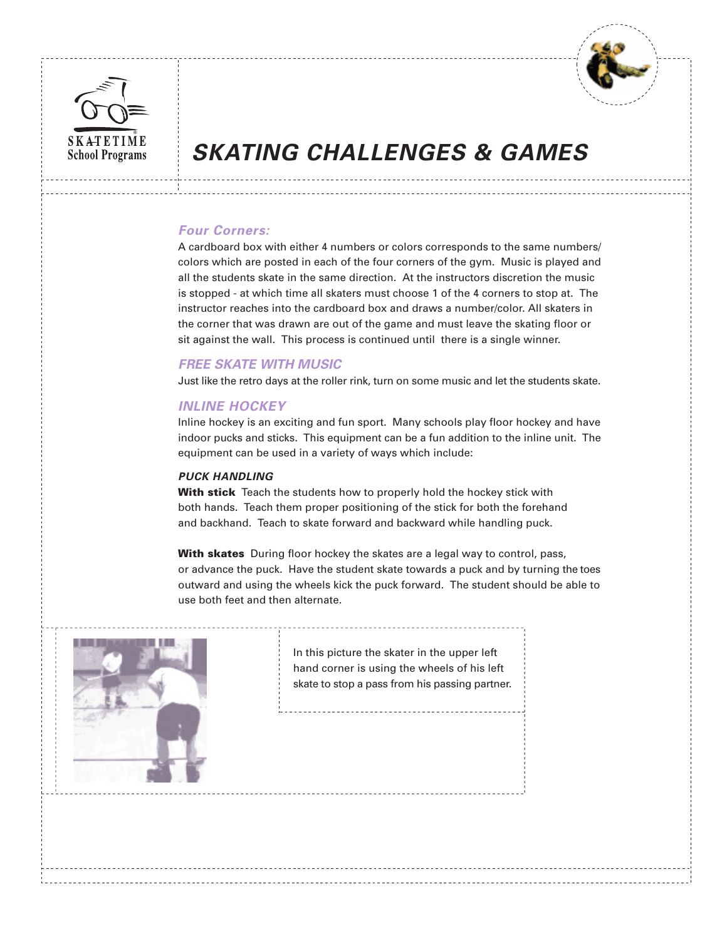



## **SKATING CHALLENGES & GAMES**

## **Four Corners:**

A cardboard box with either 4 numbers or colors corresponds to the same numbers/ colors which are posted in each of the four corners of the gym. Music is played and all the students skate in the same direction. At the instructors discretion the music is stopped - at which time all skaters must choose 1 of the 4 corners to stop at. The instructor reaches into the cardboard box and draws a number/color. All skaters in the corner that was drawn are out of the game and must leave the skating floor or sit against the wall. This process is continued until there is a single winner.

## **FREE SKATE WITH MUSIC**

Just like the retro days at the roller rink, turn on some music and let the students skate.

## **INLINE HOCKEY**

Inline hockey is an exciting and fun sport. Many schools play floor hockey and have indoor pucks and sticks. This equipment can be a fun addition to the inline unit. The equipment can be used in a variety of ways which include:

### **PUCK HANDLING**

**With stick** Teach the students how to properly hold the hockey stick with both hands. Teach them proper positioning of the stick for both the forehand and backhand. Teach to skate forward and backward while handling puck.

**With skates** During floor hockey the skates are a legal way to control, pass, or advance the puck. Have the student skate towards a puck and by turning the toes outward and using the wheels kick the puck forward. The student should be able to use both feet and then alternate.



In this picture the skater in the upper left hand corner is using the wheels of his left skate to stop a pass from his passing partner.